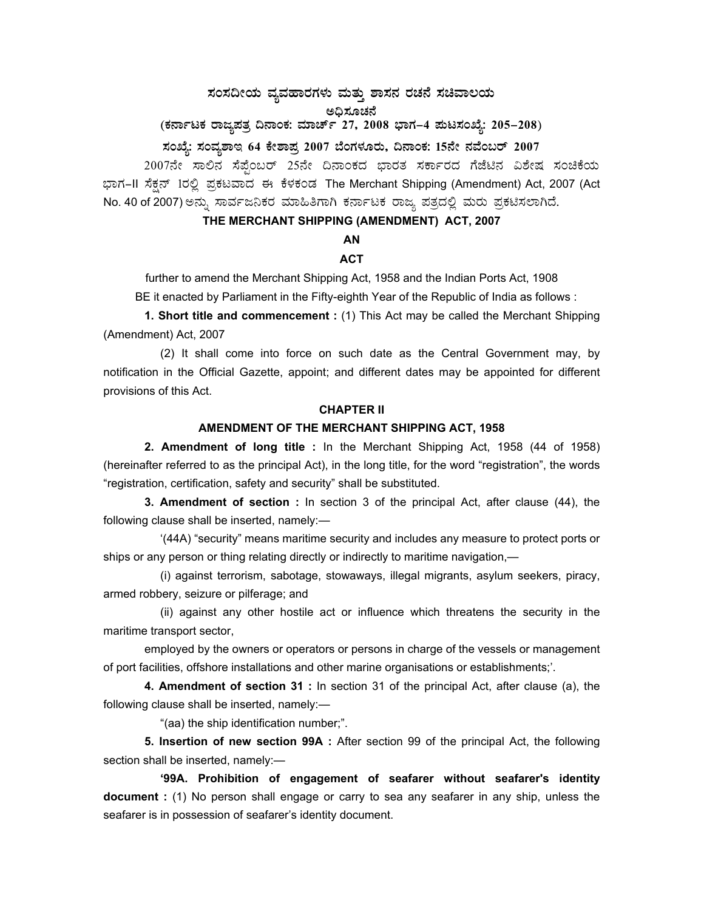## $\,$ ಸಂಸದೀಯ ವ್ಯವಹಾರಗಳು ಮತ್ತು ಶಾಸನ ರಚನೆ ಸಚಿವಾಲಯ

ಅಧಿಸೂಚನೆ

# (ಕರ್ನಾಟಕ ರಾಜ್ಯಪತ್ರ ದಿನಾಂಕ: ಮಾರ್ಚ್ 27, 2008 ಭಾಗ–4 **ಮಟಸಂಖ್ಯೆ: 205–208**)

## $\bar{x}$ ನಂಖ್ಯೆ: ಸಂವ್ಯಶಾಇ 64 ಕೇಶಾಪ್ರ 2007 ಬೆಂಗಳೂರು, ದಿನಾಂಕ: 15ನೇ ನವೆಂಬರ್ 2007

2007ನೇ ಸಾಲಿನ ಸೆಪ್ಪೆಂಬರ್ 25ನೇ ದಿನಾಂಕದ ಭಾರತ ಸರ್ಕಾರದ ಗೆಜೆಟಿನ ವಿಶೇಷ ಸಂಚಿಕೆಯ ಭಾಗ–II ಸೆಕ್ಷನ್ 1ರಲ್ಲಿ ಪ್ರಕಟವಾದ ಈ ಕೆಳಕಂಡ The Merchant Shipping (Amendment) Act, 2007 (Act No. 40 of 2007) ಅನ್ನು ಸಾರ್ವಜನಿಕರ ಮಾಹಿತಿಗಾಗಿ ಕರ್ನಾಟಕ ರಾಜ್ಯ ಪತ್ರದಲ್ಲಿ ಮರು ಪ್ರಕಟಿಸಲಾಗಿದೆ.

## **THE MERCHANT SHIPPING (AMENDMENT) ACT, 2007**

## **AN**

## **ACT**

further to amend the Merchant Shipping Act, 1958 and the Indian Ports Act, 1908

BE it enacted by Parliament in the Fifty-eighth Year of the Republic of India as follows :

**1. Short title and commencement :** (1) This Act may be called the Merchant Shipping (Amendment) Act, 2007

 (2) It shall come into force on such date as the Central Government may, by notification in the Official Gazette, appoint; and different dates may be appointed for different provisions of this Act.

#### **CHAPTER II**

#### **AMENDMENT OF THE MERCHANT SHIPPING ACT, 1958**

 **2. Amendment of long title :** In the Merchant Shipping Act, 1958 (44 of 1958) (hereinafter referred to as the principal Act), in the long title, for the word "registration", the words "registration, certification, safety and security" shall be substituted.

 **3. Amendment of section :** In section 3 of the principal Act, after clause (44), the following clause shall be inserted, namely:—

 '(44A) "security" means maritime security and includes any measure to protect ports or ships or any person or thing relating directly or indirectly to maritime navigation,—

 (i) against terrorism, sabotage, stowaways, illegal migrants, asylum seekers, piracy, armed robbery, seizure or pilferage; and

 (ii) against any other hostile act or influence which threatens the security in the maritime transport sector,

 employed by the owners or operators or persons in charge of the vessels or management of port facilities, offshore installations and other marine organisations or establishments;'.

 **4. Amendment of section 31 :** In section 31 of the principal Act, after clause (a), the following clause shall be inserted, namely:—

"(aa) the ship identification number;".

 **5. Insertion of new section 99A :** After section 99 of the principal Act, the following section shall be inserted, namely:—

 **'99A. Prohibition of engagement of seafarer without seafarer's identity document :** (1) No person shall engage or carry to sea any seafarer in any ship, unless the seafarer is in possession of seafarer's identity document.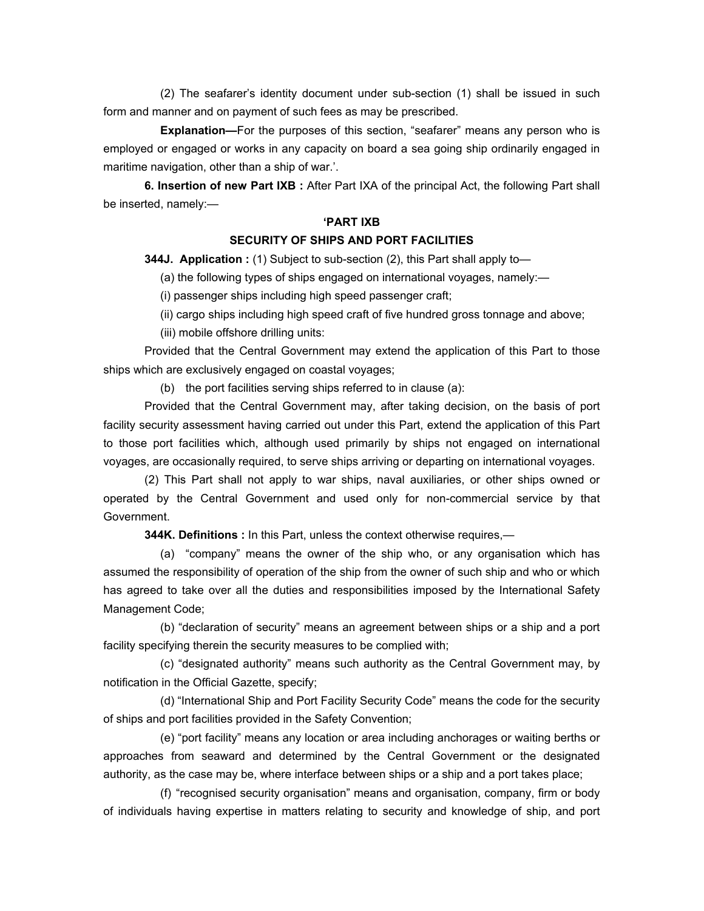(2) The seafarer's identity document under sub-section (1) shall be issued in such form and manner and on payment of such fees as may be prescribed.

**Explanation—**For the purposes of this section, "seafarer" means any person who is employed or engaged or works in any capacity on board a sea going ship ordinarily engaged in maritime navigation, other than a ship of war.'.

 **6. Insertion of new Part IXB :** After Part IXA of the principal Act, the following Part shall be inserted, namely:—

#### **'PART IXB**

#### **SECURITY OF SHIPS AND PORT FACILITIES**

 **344J. Application :** (1) Subject to sub-section (2), this Part shall apply to—

(a) the following types of ships engaged on international voyages, namely:—

(i) passenger ships including high speed passenger craft;

(ii) cargo ships including high speed craft of five hundred gross tonnage and above;

(iii) mobile offshore drilling units:

 Provided that the Central Government may extend the application of this Part to those ships which are exclusively engaged on coastal voyages;

(b) the port facilities serving ships referred to in clause (a):

 Provided that the Central Government may, after taking decision, on the basis of port facility security assessment having carried out under this Part, extend the application of this Part to those port facilities which, although used primarily by ships not engaged on international voyages, are occasionally required, to serve ships arriving or departing on international voyages.

 (2) This Part shall not apply to war ships, naval auxiliaries, or other ships owned or operated by the Central Government and used only for non-commercial service by that Government.

 **344K. Definitions :** In this Part, unless the context otherwise requires,—

 (a) "company" means the owner of the ship who, or any organisation which has assumed the responsibility of operation of the ship from the owner of such ship and who or which has agreed to take over all the duties and responsibilities imposed by the International Safety Management Code;

 (b) "declaration of security" means an agreement between ships or a ship and a port facility specifying therein the security measures to be complied with;

 (c) "designated authority" means such authority as the Central Government may, by notification in the Official Gazette, specify;

 (d) "International Ship and Port Facility Security Code" means the code for the security of ships and port facilities provided in the Safety Convention;

 (e) "port facility" means any location or area including anchorages or waiting berths or approaches from seaward and determined by the Central Government or the designated authority, as the case may be, where interface between ships or a ship and a port takes place;

 (f) "recognised security organisation" means and organisation, company, firm or body of individuals having expertise in matters relating to security and knowledge of ship, and port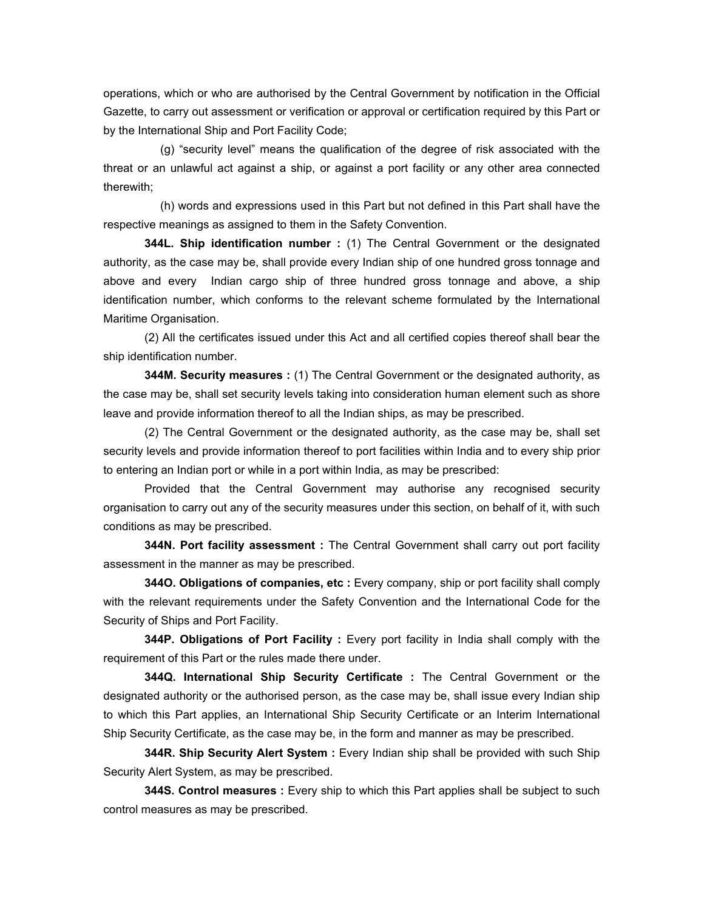operations, which or who are authorised by the Central Government by notification in the Official Gazette, to carry out assessment or verification or approval or certification required by this Part or by the International Ship and Port Facility Code;

 (g) "security level" means the qualification of the degree of risk associated with the threat or an unlawful act against a ship, or against a port facility or any other area connected therewith;

 (h) words and expressions used in this Part but not defined in this Part shall have the respective meanings as assigned to them in the Safety Convention.

 **344L. Ship identification number :** (1) The Central Government or the designated authority, as the case may be, shall provide every Indian ship of one hundred gross tonnage and above and every Indian cargo ship of three hundred gross tonnage and above, a ship identification number, which conforms to the relevant scheme formulated by the International Maritime Organisation.

 (2) All the certificates issued under this Act and all certified copies thereof shall bear the ship identification number.

 **344M. Security measures :** (1) The Central Government or the designated authority, as the case may be, shall set security levels taking into consideration human element such as shore leave and provide information thereof to all the Indian ships, as may be prescribed.

 (2) The Central Government or the designated authority, as the case may be, shall set security levels and provide information thereof to port facilities within India and to every ship prior to entering an Indian port or while in a port within India, as may be prescribed:

 Provided that the Central Government may authorise any recognised security organisation to carry out any of the security measures under this section, on behalf of it, with such conditions as may be prescribed.

 **344N. Port facility assessment :** The Central Government shall carry out port facility assessment in the manner as may be prescribed.

 **344O. Obligations of companies, etc :** Every company, ship or port facility shall comply with the relevant requirements under the Safety Convention and the International Code for the Security of Ships and Port Facility.

 **344P. Obligations of Port Facility :** Every port facility in India shall comply with the requirement of this Part or the rules made there under.

 **344Q. International Ship Security Certificate :** The Central Government or the designated authority or the authorised person, as the case may be, shall issue every Indian ship to which this Part applies, an International Ship Security Certificate or an Interim International Ship Security Certificate, as the case may be, in the form and manner as may be prescribed.

 **344R. Ship Security Alert System :** Every Indian ship shall be provided with such Ship Security Alert System, as may be prescribed.

 **344S. Control measures :** Every ship to which this Part applies shall be subject to such control measures as may be prescribed.